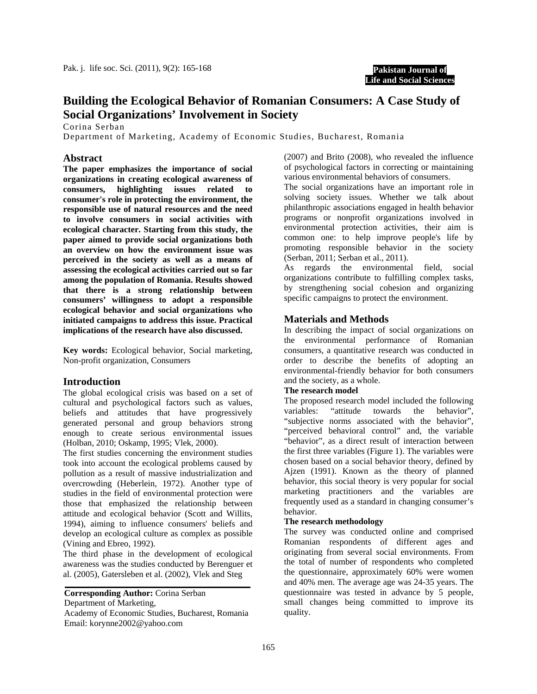

# **Building the Ecological Behavior of Romanian Consumers: A Case Study of Social Organizations' Involvement in Society**

Corina Serban

Department of Marketing, Academy of Economic Studies, Bucharest, Romania

## **Abstract**

**The paper emphasizes the importance of social organizations in creating ecological awareness of consumers, highlighting issues related to consumer's role in protecting the environment, the responsible use of natural resources and the need to involve consumers in social activities with ecological character. Starting from this study, the paper aimed to provide social organizations both an overview on how the environment issue was perceived in the society as well as a means of assessing the ecological activities carried out so far among the population of Romania. Results showed that there is a strong relationship between consumers' willingness to adopt a responsible ecological behavior and social organizations who initiated campaigns to address this issue. Practical implications of the research have also discussed.** 

**Key words:** Ecological behavior, Social marketing, Non-profit organization, Consumers

#### **Introduction**

The global ecological crisis was based on a set of cultural and psychological factors such as values, beliefs and attitudes that have progressively generated personal and group behaviors strong enough to create serious environmental issues (Holban, 2010; Oskamp, 1995; Vlek, 2000).

The first studies concerning the environment studies took into account the ecological problems caused by pollution as a result of massive industrialization and overcrowding (Heberlein, 1972). Another type of studies in the field of environmental protection were those that emphasized the relationship between attitude and ecological behavior (Scott and Willits, 1994), aiming to influence consumers' beliefs and develop an ecological culture as complex as possible (Vining and Ebreo, 1992).

The third phase in the development of ecological awareness was the studies conducted by Berenguer et al. (2005), Gatersleben et al. (2002), Vlek and Steg

**Corresponding Author:** Corina Serban Department of Marketing,

Academy of Economic Studies, Bucharest, Romania Email: korynne2002@yahoo.com

(2007) and Brito (2008), who revealed the influence of psychological factors in correcting or maintaining various environmental behaviors of consumers.

The social organizations have an important role in solving society issues. Whether we talk about philanthropic associations engaged in health behavior programs or nonprofit organizations involved in environmental protection activities, their aim is common one: to help improve people's life by promoting responsible behavior in the society (Serban, 2011; Serban et al., 2011).

As regards the environmental field, social organizations contribute to fulfilling complex tasks, by strengthening social cohesion and organizing specific campaigns to protect the environment.

#### **Materials and Methods**

In describing the impact of social organizations on the environmental performance of Romanian consumers, a quantitative research was conducted in order to describe the benefits of adopting an environmental-friendly behavior for both consumers and the society, as a whole.

#### **The research model**

The proposed research model included the following variables: "attitude towards the behavior", "subjective norms associated with the behavior", "perceived behavioral control" and, the variable "behavior", as a direct result of interaction between the first three variables (Figure 1). The variables were chosen based on a social behavior theory, defined by Ajzen (1991). Known as the theory of planned behavior, this social theory is very popular for social marketing practitioners and the variables are frequently used as a standard in changing consumer's behavior.

### **The research methodology**

The survey was conducted online and comprised Romanian respondents of different ages and originating from several social environments. From the total of number of respondents who completed the questionnaire, approximately 60% were women and 40% men. The average age was 24-35 years. The questionnaire was tested in advance by 5 people, small changes being committed to improve its quality.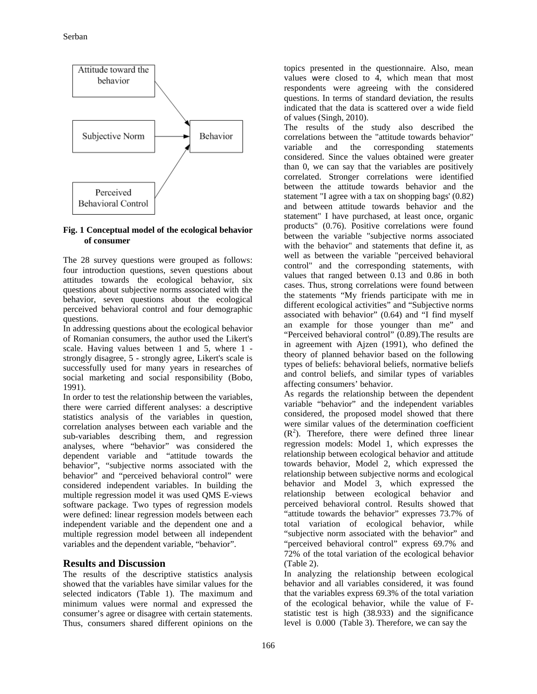

#### **Fig. 1 Conceptual model of the ecological behavior of consumer**

The 28 survey questions were grouped as follows: four introduction questions, seven questions about attitudes towards the ecological behavior, six questions about subjective norms associated with the behavior, seven questions about the ecological perceived behavioral control and four demographic questions.

In addressing questions about the ecological behavior of Romanian consumers, the author used the Likert's scale. Having values between 1 and 5, where 1 strongly disagree, 5 - strongly agree, Likert's scale is successfully used for many years in researches of social marketing and social responsibility (Bobo, 1991).

In order to test the relationship between the variables, there were carried different analyses: a descriptive statistics analysis of the variables in question, correlation analyses between each variable and the sub-variables describing them, and regression analyses, where "behavior" was considered the dependent variable and "attitude towards the behavior", "subjective norms associated with the behavior" and "perceived behavioral control" were considered independent variables. In building the multiple regression model it was used QMS E-views software package. Two types of regression models were defined: linear regression models between each independent variable and the dependent one and a multiple regression model between all independent variables and the dependent variable, "behavior".

# **Results and Discussion**

The results of the descriptive statistics analysis showed that the variables have similar values for the selected indicators (Table 1). The maximum and minimum values were normal and expressed the consumer's agree or disagree with certain statements. Thus, consumers shared different opinions on the

topics presented in the questionnaire. Also, mean values were closed to 4, which mean that most respondents were agreeing with the considered questions. In terms of standard deviation, the results indicated that the data is scattered over a wide field of values (Singh, 2010).

The results of the study also described the correlations between the "attitude towards behavior" variable and the corresponding statements considered. Since the values obtained were greater than 0, we can say that the variables are positively correlated. Stronger correlations were identified between the attitude towards behavior and the statement "I agree with a tax on shopping bags' (0.82) and between attitude towards behavior and the statement" I have purchased, at least once, organic products" (0.76). Positive correlations were found between the variable "subjective norms associated with the behavior" and statements that define it, as well as between the variable "perceived behavioral control" and the corresponding statements, with values that ranged between 0.13 and 0.86 in both cases. Thus, strong correlations were found between the statements "My friends participate with me in different ecological activities" and "Subjective norms associated with behavior" (0.64) and "I find myself an example for those younger than me" and "Perceived behavioral control" (0.89).The results are in agreement with Ajzen (1991), who defined the theory of planned behavior based on the following types of beliefs: behavioral beliefs, normative beliefs and control beliefs, and similar types of variables affecting consumers' behavior.

As regards the relationship between the dependent variable "behavior" and the independent variables considered, the proposed model showed that there were similar values of the determination coefficient  $(R<sup>2</sup>)$ . Therefore, there were defined three linear regression models: Model 1, which expresses the relationship between ecological behavior and attitude towards behavior, Model 2, which expressed the relationship between subjective norms and ecological behavior and Model 3, which expressed the relationship between ecological behavior and perceived behavioral control. Results showed that "attitude towards the behavior" expresses 73.7% of total variation of ecological behavior, while "subjective norm associated with the behavior" and "perceived behavioral control" express 69.7% and 72% of the total variation of the ecological behavior (Table 2).

In analyzing the relationship between ecological behavior and all variables considered, it was found that the variables express 69.3% of the total variation of the ecological behavior, while the value of Fstatistic test is high (38.933) and the significance level is 0.000 (Table 3). Therefore, we can say the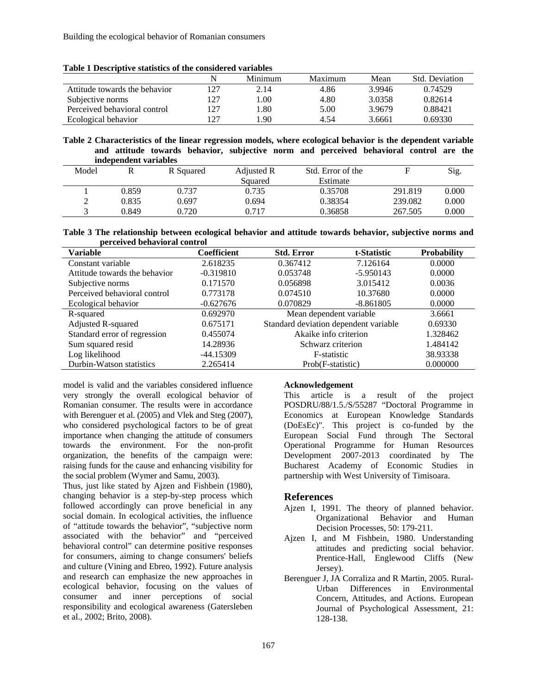| Table 1 Descriptive statistics of the considered variables |
|------------------------------------------------------------|
|------------------------------------------------------------|

|                               |     | Minimum | Maximum | Mean   | <b>Std.</b> Deviation |
|-------------------------------|-----|---------|---------|--------|-----------------------|
| Attitude towards the behavior |     | 2.14    | 4.86    | 3.9946 | 0.74529               |
| Subjective norms              | 27  | . 00    | 4.80    | 3.0358 | 0.82614               |
| Perceived behavioral control  | 77، | .80 ،   | 5.00    | 3.9679 | 0.88421               |
| Ecological behavior           | 77، | .90     | 4.54    | 3.6661 | 0.69330               |

**Table 2 Characteristics of the linear regression models, where ecological behavior is the dependent variable and attitude towards behavior, subjective norm and perceived behavioral control are the independent variables** 

|       | mucbenucm variables |           |            |                   |         |       |
|-------|---------------------|-----------|------------|-------------------|---------|-------|
| Model |                     | R Squared | Adjusted R | Std. Error of the |         | Sig.  |
|       |                     |           | Squared    | Estimate          |         |       |
|       | 0.859               | 0.737     | 0.735      | 0.35708           | 291.819 | 0.000 |
|       | 0.835               | 0.697     | 0.694      | 0.38354           | 239.082 | 0.000 |
|       | 0.849               | 0.720     | 0.717      | 0.36858           | 267.505 | 0.000 |

| Table 3 The relationship between ecological behavior and attitude towards behavior, subjective norms and |  |  |  |
|----------------------------------------------------------------------------------------------------------|--|--|--|
| perceived behavioral control                                                                             |  |  |  |

| Variable                      | Coefficient | <b>Std. Error</b>                     | t-Statistic | <b>Probability</b> |
|-------------------------------|-------------|---------------------------------------|-------------|--------------------|
| Constant variable             | 2.618235    | 0.367412<br>7.126164                  |             | 0.0000             |
| Attitude towards the behavior | $-0.319810$ | 0.053748                              | $-5.950143$ |                    |
| Subjective norms              | 0.171570    | 0.056898                              | 3.015412    | 0.0036             |
| Perceived behavioral control  | 0.773178    | 0.074510                              | 10.37680    | 0.0000             |
| Ecological behavior           | $-0.627676$ | 0.070829                              | $-8.861805$ | 0.0000             |
| R-squared                     | 0.692970    | Mean dependent variable               |             | 3.6661             |
| Adjusted R-squared            | 0.675171    | Standard deviation dependent variable |             | 0.69330            |
| Standard error of regression  | 0.455074    | Akaike info criterion                 |             | 1.328462           |
| Sum squared resid             | 14.28936    | Schwarz criterion                     |             | 1.484142           |
| Log likelihood                | $-44.15309$ | F-statistic                           |             | 38.93338           |
| Durbin-Watson statistics      | 2.265414    | Prob(F-statistic)                     |             | 0.000000           |

model is valid and the variables considered influence very strongly the overall ecological behavior of Romanian consumer. The results were in accordance with Berenguer et al. (2005) and Vlek and Steg (2007), who considered psychological factors to be of great importance when changing the attitude of consumers towards the environment. For the non-profit organization, the benefits of the campaign were: raising funds for the cause and enhancing visibility for the social problem (Wymer and Samu, 2003).

Thus, just like stated by Ajzen and Fishbein (1980), changing behavior is a step-by-step process which followed accordingly can prove beneficial in any social domain. In ecological activities, the influence of "attitude towards the behavior", "subjective norm associated with the behavior" and "perceived behavioral control" can determine positive responses for consumers, aiming to change consumers' beliefs and culture (Vining and Ebreo, 1992). Future analysis and research can emphasize the new approaches in ecological behavior, focusing on the values of consumer and inner perceptions of social responsibility and ecological awareness (Gatersleben et al., 2002; Brito, 2008).

#### **Acknowledgement**

This article is a result of the project POSDRU/88/1.5./S/55287 "Doctoral Programme in Economics at European Knowledge Standards (DoEsEc)". This project is co-funded by the European Social Fund through The Sectoral Operational Programme for Human Resources Development 2007-2013 coordinated by The Bucharest Academy of Economic Studies in partnership with West University of Timisoara.

# **References**

- Ajzen I, 1991. The theory of planned behavior. Organizational Behavior and Human Decision Processes, 50: 179-211.
- Ajzen I, and M Fishbein, 1980. Understanding attitudes and predicting social behavior. Prentice-Hall, Englewood Cliffs (New Jersey).
- Berenguer J, JA Corraliza and R Martin, 2005. Rural-Urban Differences in Environmental Concern, Attitudes, and Actions. European Journal of Psychological Assessment, 21: 128-138.